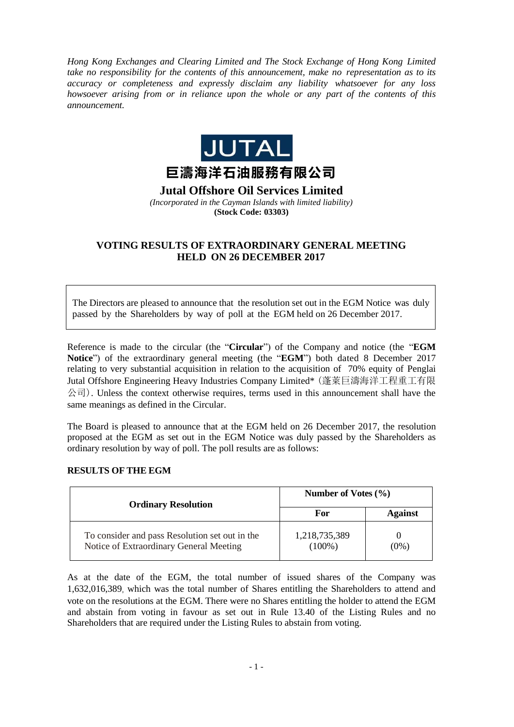*Hong Kong Exchanges and Clearing Limited and The Stock Exchange of Hong Kong Limited take no responsibility for the contents of this announcement, make no representation as to its accuracy or completeness and expressly disclaim any liability whatsoever for any loss howsoever arising from or in reliance upon the whole or any part of the contents of this announcement.*



**Jutal Offshore Oil Services Limited**

*(Incorporated in the Cayman Islands with limited liability)*  **(Stock Code: 03303)**

## **VOTING RESULTS OF EXTRAORDINARY GENERAL MEETING HELD ON 26 DECEMBER 2017**

The Directors are pleased to announce that the resolution set out in the EGM Notice was duly passed by the Shareholders by way of poll at the EGM held on 26 December 2017.

Reference is made to the circular (the "**Circular**") of the Company and notice (the "**EGM Notice**") of the extraordinary general meeting (the "**EGM**") both dated 8 December 2017 relating to very substantial acquisition in relation to the acquisition of 70% equity of Penglai Jutal Offshore Engineering Heavy Industries Company Limited\* (蓬萊巨濤海洋工程重工有限  $\triangle$ 司). Unless the context otherwise requires, terms used in this announcement shall have the same meanings as defined in the Circular.

The Board is pleased to announce that at the EGM held on 26 December 2017, the resolution proposed at the EGM as set out in the EGM Notice was duly passed by the Shareholders as ordinary resolution by way of poll. The poll results are as follows:

## **RESULTS OF THE EGM**

| <b>Ordinary Resolution</b>                                                                | Number of Votes $(\% )$    |                |
|-------------------------------------------------------------------------------------------|----------------------------|----------------|
|                                                                                           | For                        | <b>Against</b> |
| To consider and pass Resolution set out in the<br>Notice of Extraordinary General Meeting | 1,218,735,389<br>$(100\%)$ | (0%)           |

As at the date of the EGM, the total number of issued shares of the Company was 1,632,016,389, which was the total number of Shares entitling the Shareholders to attend and vote on the resolutions at the EGM. There were no Shares entitling the holder to attend the EGM and abstain from voting in favour as set out in Rule 13.40 of the Listing Rules and no Shareholders that are required under the Listing Rules to abstain from voting.